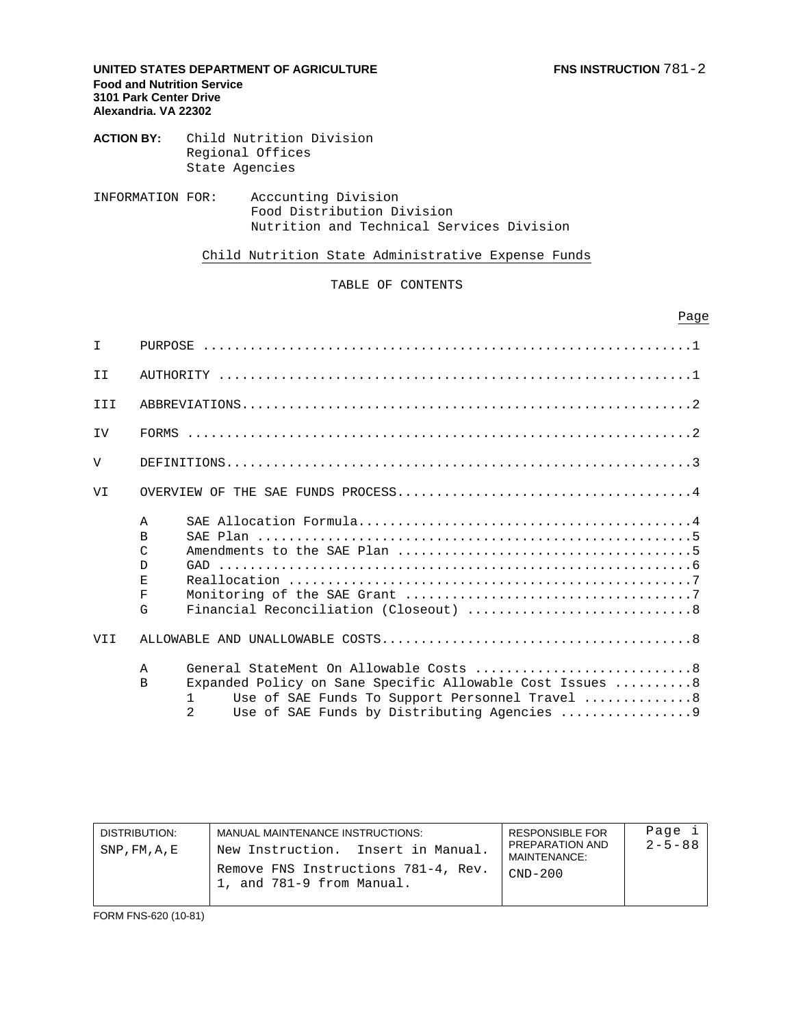### **UNITED STATES DEPARTMENT OF AGRICULTURE FINE INSTRUCTION**  $781-2$ **Food and Nutrition Service 3101 Park Center Drive Alexandria. VA 22302**

**ACTION BY:** Child Nutrition Division Regional Offices State Agencies

INFORMATION FOR: Acccunting Division Food Distribution Division Nutrition and Technical Services Division

Child Nutrition State Administrative Expense Funds

TABLE OF CONTENTS

Page in the contract of the contract of the contract of the contract of the contract of the contract of the contract of the contract of the contract of the contract of the contract of the contract of the contract of the co

| $\top$         |                                                                                                                                                                                                                                |
|----------------|--------------------------------------------------------------------------------------------------------------------------------------------------------------------------------------------------------------------------------|
| TT.            |                                                                                                                                                                                                                                |
| TTT            |                                                                                                                                                                                                                                |
| TV             |                                                                                                                                                                                                                                |
| $\overline{V}$ |                                                                                                                                                                                                                                |
| VI             |                                                                                                                                                                                                                                |
|                | $\mathsf{A}$<br>B<br>$\mathcal{C}$<br>D<br>E<br>$\rm F$<br>G                                                                                                                                                                   |
| VII            |                                                                                                                                                                                                                                |
|                | $\mathsf{A}$<br>Expanded Policy on Sane Specific Allowable Cost Issues  8<br>$\overline{B}$<br>Use of SAE Funds To Support Personnel Travel 8<br>$\mathbf{1}$<br>$\mathfrak{D}$<br>Use of SAE Funds by Distributing Agencies 9 |

| DISTRIBUTION:<br>$SNP$ , $FM$ , $A$ , $E$ | MANUAL MAINTENANCE INSTRUCTIONS.<br>New Instruction. Insert in Manual. | RESPONSIBLE FOR<br>PREPARATION AND<br>MAINTENANCE: | Page i<br>$2 - 5 - 88$ |
|-------------------------------------------|------------------------------------------------------------------------|----------------------------------------------------|------------------------|
|                                           | Remove FNS Instructions 781-4, Rev.<br>1, and 781-9 from Manual.       | $CND-200$                                          |                        |

FORM FNS-620 (10-81)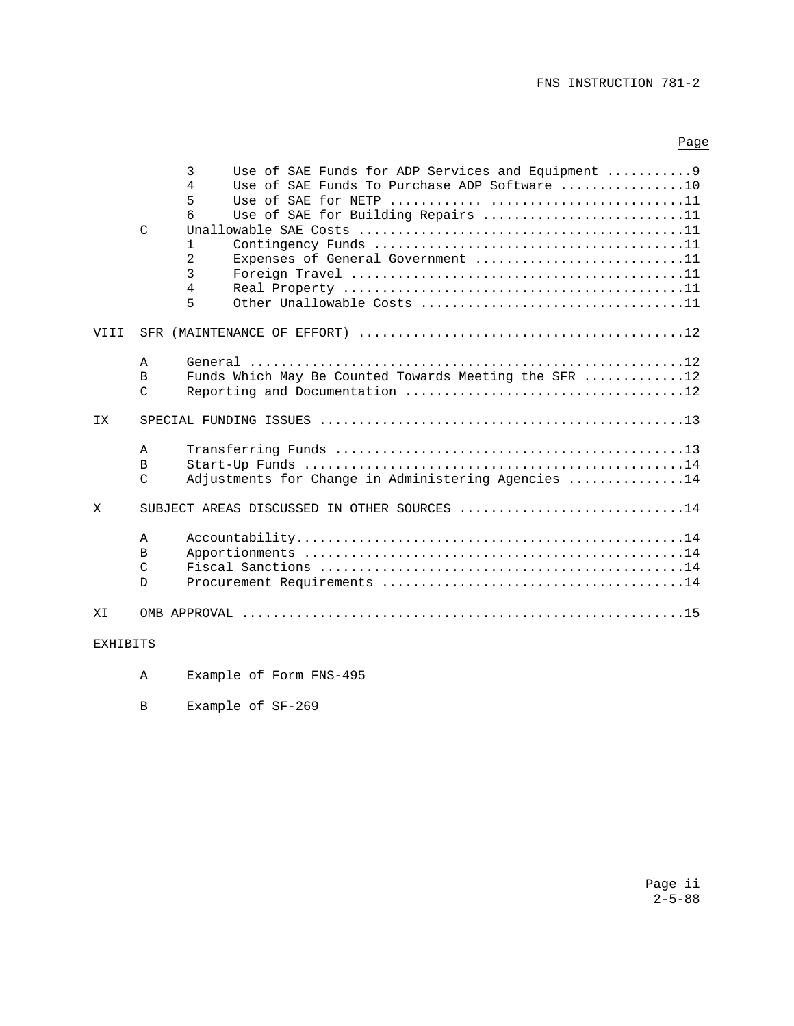# FNS INSTRUCTION 781-2

# Page

|                 |               | 3<br>Use of SAE Funds for ADP Services and Equipment 9                      |
|-----------------|---------------|-----------------------------------------------------------------------------|
|                 |               | Use of SAE Funds To Purchase ADP Software $\ldots, \ldots, \ldots, 10$<br>4 |
|                 |               | 5                                                                           |
|                 |               | 6<br>Use of SAE for Building Repairs 11                                     |
|                 | $\mathcal{C}$ |                                                                             |
|                 |               | $\mathbf{1}$                                                                |
|                 |               | $\overline{2}$<br>Expenses of General Government 11                         |
|                 |               | 3                                                                           |
|                 |               | $\overline{4}$                                                              |
|                 |               | 5                                                                           |
| VIII            |               |                                                                             |
|                 | Α             |                                                                             |
|                 | B             | Funds Which May Be Counted Towards Meeting the SFR 12                       |
|                 | $\mathcal{C}$ |                                                                             |
| <b>IX</b>       |               |                                                                             |
|                 | A             |                                                                             |
|                 | B             |                                                                             |
|                 | $\mathcal{C}$ | Adjustments for Change in Administering Agencies 14                         |
| X               |               | SUBJECT AREAS DISCUSSED IN OTHER SOURCES 14                                 |
|                 | $\mathbb A$   |                                                                             |
|                 | B             |                                                                             |
|                 | $\mathcal{C}$ |                                                                             |
|                 | D             |                                                                             |
| ΧI              |               |                                                                             |
| <b>EXHIBITS</b> |               |                                                                             |

- A Example of Form FNS-495
- B Example of SF-269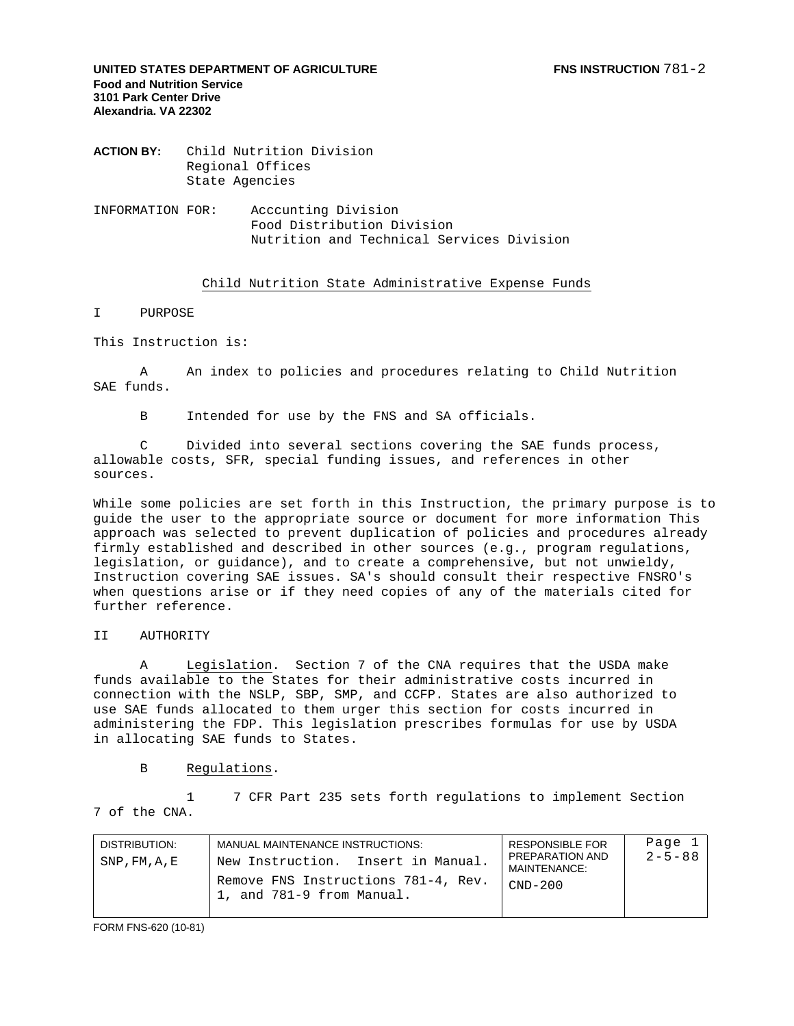**UNITED STATES DEPARTMENT OF AGRICULTURE FIND THE RESERVE FOR STATES DEPARTMENT OF AGRICULTURE Food and Nutrition Service 3101 Park Center Drive Alexandria. VA 22302** 

**ACTION BY:** Child Nutrition Division Regional Offices State Agencies

INFORMATION FOR: Acccunting Division Food Distribution Division Nutrition and Technical Services Division

### Child Nutrition State Administrative Expense Funds

I PURPOSE

This Instruction is:

 A An index to policies and procedures relating to Child Nutrition SAE funds.

B Intended for use by the FNS and SA officials.

 C Divided into several sections covering the SAE funds process, allowable costs, SFR, special funding issues, and references in other sources.

While some policies are set forth in this Instruction, the primary purpose is to guide the user to the appropriate source or document for more information This approach was selected to prevent duplication of policies and procedures already firmly established and described in other sources (e.g., program regulations, legislation, or guidance), and to create a comprehensive, but not unwieldy, Instruction covering SAE issues. SA's should consult their respective FNSRO's when questions arise or if they need copies of any of the materials cited for further reference.

#### II AUTHORITY

A Legislation. Section 7 of the CNA requires that the USDA make funds available to the States for their administrative costs incurred in connection with the NSLP, SBP, SMP, and CCFP. States are also authorized to use SAE funds allocated to them urger this section for costs incurred in administering the FDP. This legislation prescribes formulas for use by USDA in allocating SAE funds to States.

B Regulations.

 1 7 CFR Part 235 sets forth regulations to implement Section 7 of the CNA.

| DISTRIBUTION:<br>SNP, FM, A, E | MANUAL MAINTENANCE INSTRUCTIONS:<br>New Instruction. Insert in Manual.<br>Remove FNS Instructions 781-4, Rev.<br>1, and 781-9 from Manual. | <b>RESPONSIBLE FOR</b><br>PREPARATION AND<br>MAINTENANCE:<br>$CND-200$ | Page 1<br>$2 - 5 - 88$ |
|--------------------------------|--------------------------------------------------------------------------------------------------------------------------------------------|------------------------------------------------------------------------|------------------------|
|                                |                                                                                                                                            |                                                                        |                        |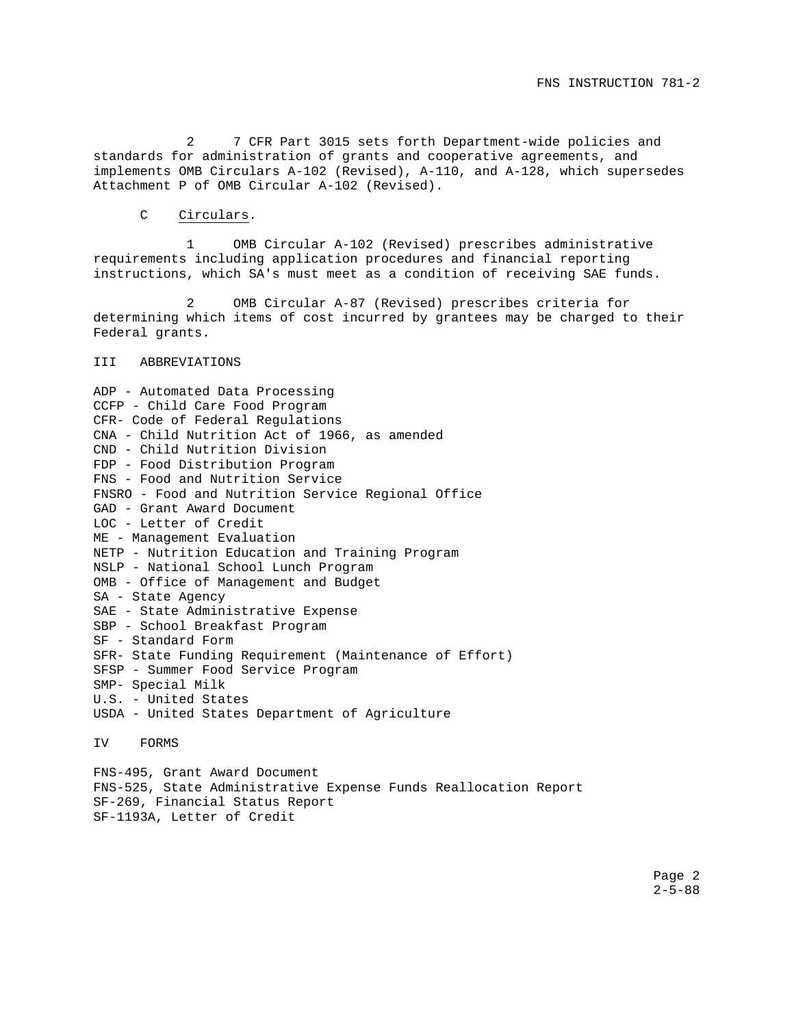2 7 CFR Part 3015 sets forth Department-wide policies and standards for administration of grants and cooperative agreements, and implements OMB Circulars A-102 (Revised), A-110, and A-128, which supersedes Attachment P of OMB Circular A-102 (Revised).

C Circulars.

1 OMB Circular A-102 (Revised) prescribes administrative requirements including application procedures and financial reporting instructions, which SA's must meet as a condition of receiving SAE funds.

2 OMB Circular A-87 (Revised) prescribes criteria for determining which items of cost incurred by grantees may be charged to their Federal grants.

#### III ABBREVIATIONS

ADP - Automated Data Processing CCFP - Child Care Food Program CFR- Code of Federal Regulations CNA - Child Nutrition Act of 1966, as amended CND - Child Nutrition Division FDP - Food Distribution Program FNS - Food and Nutrition Service FNSRO - Food and Nutrition Service Regional Office GAD - Grant Award Document LOC - Letter of Credit ME - Management Evaluation NETP - Nutrition Education and Training Program NSLP - National School Lunch Program OMB - Office of Management and Budget SA - State Agency SAE - State Administrative Expense SBP - School Breakfast Program SF - Standard Form SFR- State Funding Requirement (Maintenance of Effort) SFSP - Summer Food Service Program SMP- Special Milk U.S. - United States USDA - United States Department of Agriculture IV FORMS

FNS-495, Grant Award Document FNS-525, State Administrative Expense Funds Reallocation Report SF-269, Financial Status Report SF-1193A, Letter of Credit

> Page 2  $2 - 5 - 88$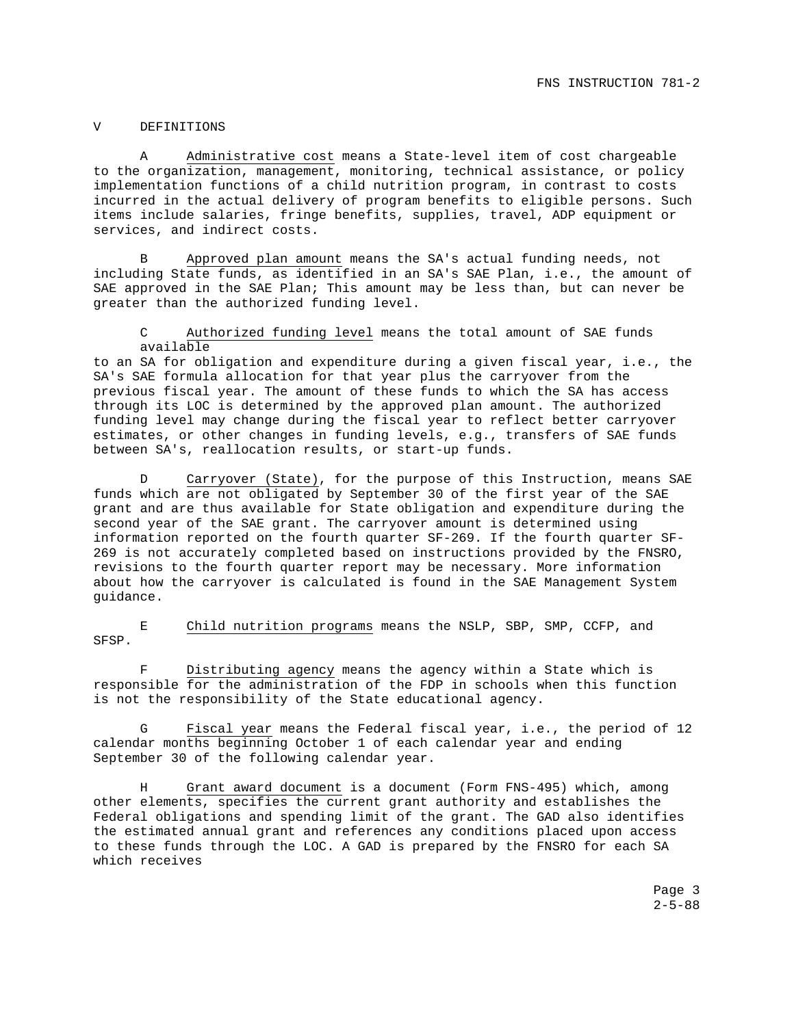#### V DEFINITIONS

A Administrative cost means a State-level item of cost chargeable to the organization, management, monitoring, technical assistance, or policy implementation functions of a child nutrition program, in contrast to costs incurred in the actual delivery of program benefits to eligible persons. Such items include salaries, fringe benefits, supplies, travel, ADP equipment or services, and indirect costs.

B Approved plan amount means the SA's actual funding needs, not including State funds, as identified in an SA's SAE Plan, i.e., the amount of SAE approved in the SAE Plan; This amount may be less than, but can never be greater than the authorized funding level.

C Authorized funding level means the total amount of SAE funds available

to an SA for obligation and expenditure during a given fiscal year, i.e., the SA's SAE formula allocation for that year plus the carryover from the previous fiscal year. The amount of these funds to which the SA has access through its LOC is determined by the approved plan amount. The authorized funding level may change during the fiscal year to reflect better carryover estimates, or other changes in funding levels, e.g., transfers of SAE funds between SA's, reallocation results, or start-up funds.

D Carryover (State), for the purpose of this Instruction, means SAE funds which are not obligated by September 30 of the first year of the SAE grant and are thus available for State obligation and expenditure during the second year of the SAE grant. The carryover amount is determined using information reported on the fourth quarter SF-269. If the fourth quarter SF-269 is not accurately completed based on instructions provided by the FNSRO, revisions to the fourth quarter report may be necessary. More information about how the carryover is calculated is found in the SAE Management System guidance.

E Child nutrition programs means the NSLP, SBP, SMP, CCFP, and SFSP.

Distributing agency means the agency within a State which is responsible for the administration of the FDP in schools when this function is not the responsibility of the State educational agency.

Fiscal year means the Federal fiscal year, i.e., the period of 12 calendar months beginning October 1 of each calendar year and ending September 30 of the following calendar year.

H Grant award document is a document (Form FNS-495) which, among other elements, specifies the current grant authority and establishes the Federal obligations and spending limit of the grant. The GAD also identifies the estimated annual grant and references any conditions placed upon access to these funds through the LOC. A GAD is prepared by the FNSRO for each SA which receives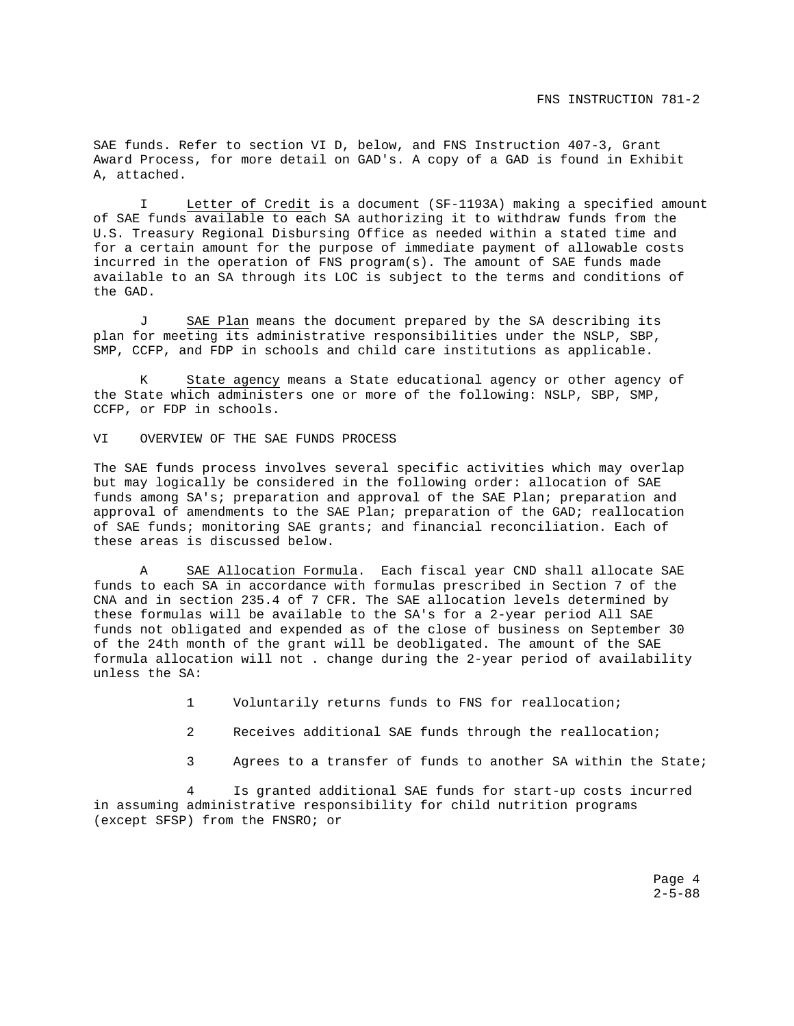SAE funds. Refer to section VI D, below, and FNS Instruction 407-3, Grant Award Process, for more detail on GAD's. A copy of a GAD is found in Exhibit A, attached.

 I Letter of Credit is a document (SF-1193A) making a specified amount of SAE funds available to each SA authorizing it to withdraw funds from the U.S. Treasury Regional Disbursing Office as needed within a stated time and for a certain amount for the purpose of immediate payment of allowable costs incurred in the operation of FNS program(s). The amount of SAE funds made available to an SA through its LOC is subject to the terms and conditions of the GAD.

J SAE Plan means the document prepared by the SA describing its plan for meeting its administrative responsibilities under the NSLP, SBP, SMP, CCFP, and FDP in schools and child care institutions as applicable.

K State agency means a State educational agency or other agency of the State which administers one or more of the following: NSLP, SBP, SMP, CCFP, or FDP in schools.

VI OVERVIEW OF THE SAE FUNDS PROCESS

The SAE funds process involves several specific activities which may overlap but may logically be considered in the following order: allocation of SAE funds among SA's; preparation and approval of the SAE Plan; preparation and approval of amendments to the SAE Plan; preparation of the GAD; reallocation of SAE funds; monitoring SAE grants; and financial reconciliation. Each of these areas is discussed below.

SAE Allocation Formula. Each fiscal year CND shall allocate SAE funds to each SA in accordance with formulas prescribed in Section 7 of the CNA and in section 235.4 of 7 CFR. The SAE allocation levels determined by these formulas will be available to the SA's for a 2-year period All SAE funds not obligated and expended as of the close of business on September 30 of the 24th month of the grant will be deobligated. The amount of the SAE formula allocation will not . change during the 2-year period of availability unless the SA:

1 Voluntarily returns funds to FNS for reallocation;

- 2 Receives additional SAE funds through the reallocation;
- 3 Agrees to a transfer of funds to another SA within the State;

4 Is granted additional SAE funds for start-up costs incurred in assuming administrative responsibility for child nutrition programs (except SFSP) from the FNSRO; or

> Page 4  $2 - 5 - 88$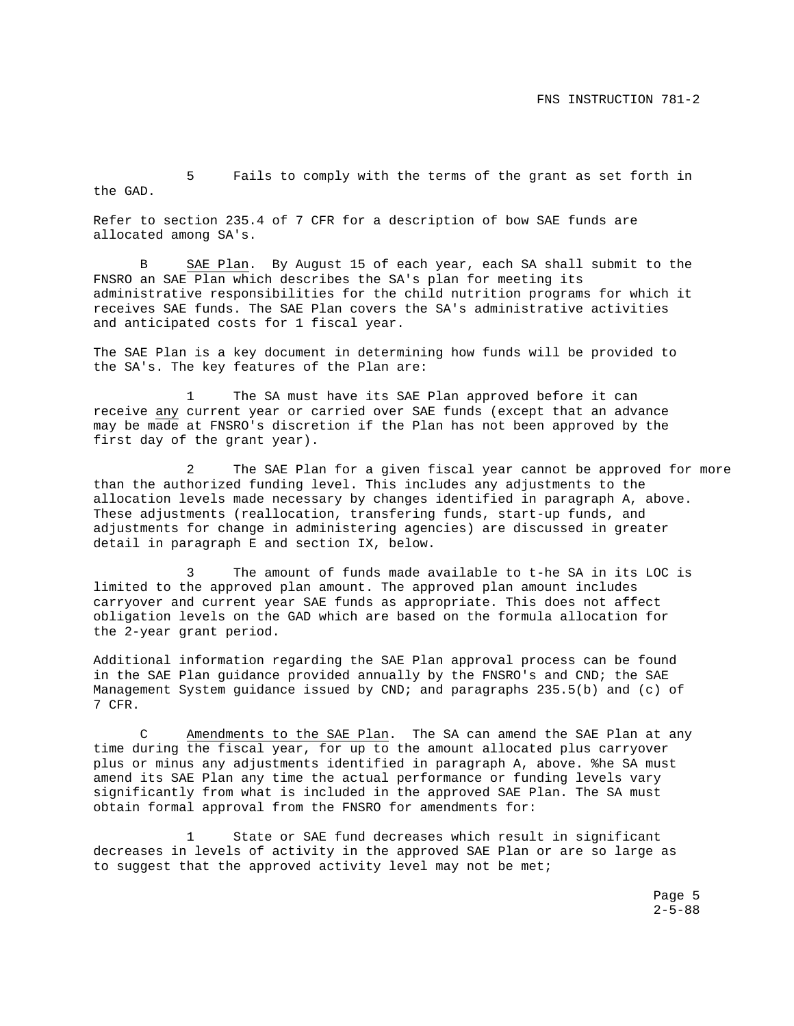5 Fails to comply with the terms of the grant as set forth in the GAD.

Refer to section 235.4 of 7 CFR for a description of bow SAE funds are allocated among SA's.

B SAE Plan. By August 15 of each year, each SA shall submit to the FNSRO an SAE Plan which describes the SA's plan for meeting its administrative responsibilities for the child nutrition programs for which it receives SAE funds. The SAE Plan covers the SA's administrative activities and anticipated costs for 1 fiscal year.

The SAE Plan is a key document in determining how funds will be provided to the SA's. The key features of the Plan are:

The SA must have its SAE Plan approved before it can receive any current year or carried over SAE funds (except that an advance may be made at FNSRO's discretion if the Plan has not been approved by the first day of the grant year).

2 The SAE Plan for a given fiscal year cannot be approved for more than the authorized funding level. This includes any adjustments to the allocation levels made necessary by changes identified in paragraph A, above. These adjustments (reallocation, transfering funds, start-up funds, and adjustments for change in administering agencies) are discussed in greater detail in paragraph E and section IX, below.

3 The amount of funds made available to t-he SA in its LOC is limited to the approved plan amount. The approved plan amount includes carryover and current year SAE funds as appropriate. This does not affect obligation levels on the GAD which are based on the formula allocation for the 2-year grant period.

Additional information regarding the SAE Plan approval process can be found in the SAE Plan guidance provided annually by the FNSRO's and CND; the SAE Management System guidance issued by CND; and paragraphs 235.5(b) and (c) of 7 CFR.

C Amendments to the SAE Plan. The SA can amend the SAE Plan at any time during the fiscal year, for up to the amount allocated plus carryover plus or minus any adjustments identified in paragraph A, above. %he SA must amend its SAE Plan any time the actual performance or funding levels vary significantly from what is included in the approved SAE Plan. The SA must obtain formal approval from the FNSRO for amendments for:

1 State or SAE fund decreases which result in significant decreases in levels of activity in the approved SAE Plan or are so large as to suggest that the approved activity level may not be met;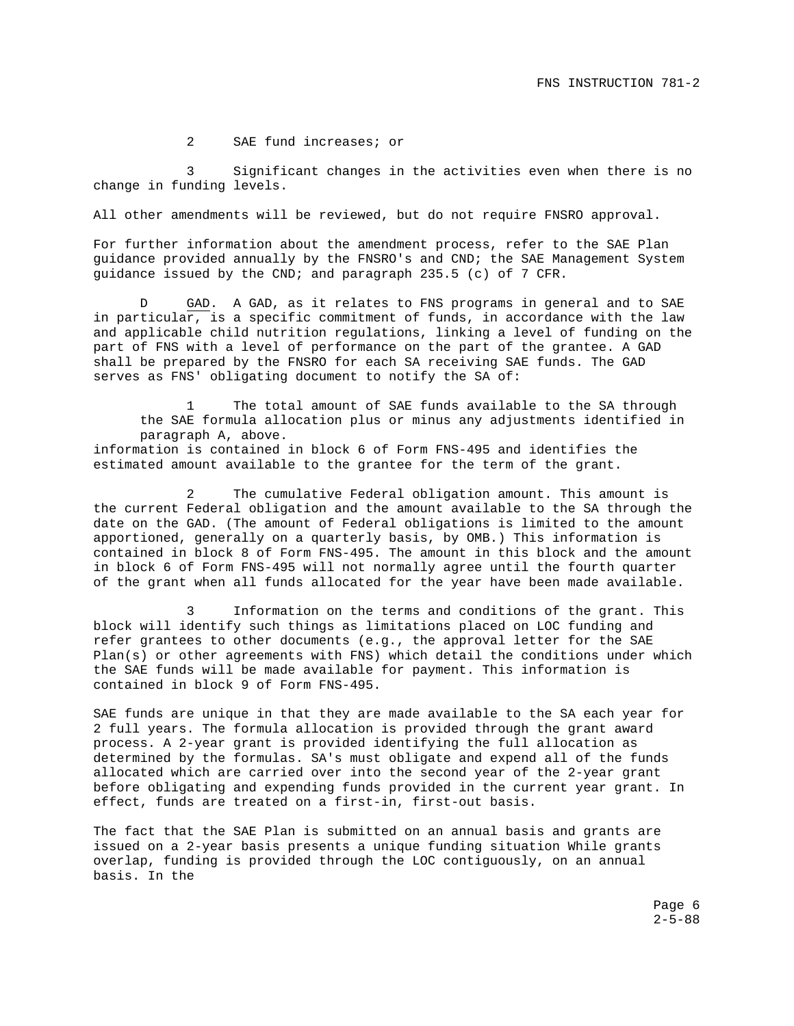2 SAE fund increases; or

3 Significant changes in the activities even when there is no change in funding levels.

All other amendments will be reviewed, but do not require FNSRO approval.

For further information about the amendment process, refer to the SAE Plan guidance provided annually by the FNSRO's and CND; the SAE Management System guidance issued by the CND; and paragraph 235.5 (c) of 7 CFR.

D GAD. A GAD, as it relates to FNS programs in general and to SAE in particular, is a specific commitment of funds, in accordance with the law and applicable child nutrition regulations, linking a level of funding on the part of FNS with a level of performance on the part of the grantee. A GAD shall be prepared by the FNSRO for each SA receiving SAE funds. The GAD serves as FNS' obligating document to notify the SA of:

The total amount of SAE funds available to the SA through the SAE formula allocation plus or minus any adjustments identified in paragraph A, above.

information is contained in block 6 of Form FNS-495 and identifies the estimated amount available to the grantee for the term of the grant.

2 The cumulative Federal obligation amount. This amount is the current Federal obligation and the amount available to the SA through the date on the GAD. (The amount of Federal obligations is limited to the amount apportioned, generally on a quarterly basis, by OMB.) This information is contained in block 8 of Form FNS-495. The amount in this block and the amount in block 6 of Form FNS-495 will not normally agree until the fourth quarter of the grant when all funds allocated for the year have been made available.

3 Information on the terms and conditions of the grant. This block will identify such things as limitations placed on LOC funding and refer grantees to other documents (e.g., the approval letter for the SAE Plan(s) or other agreements with FNS) which detail the conditions under which the SAE funds will be made available for payment. This information is contained in block 9 of Form FNS-495.

SAE funds are unique in that they are made available to the SA each year for 2 full years. The formula allocation is provided through the grant award process. A 2-year grant is provided identifying the full allocation as determined by the formulas. SA's must obligate and expend all of the funds allocated which are carried over into the second year of the 2-year grant before obligating and expending funds provided in the current year grant. In effect, funds are treated on a first-in, first-out basis.

The fact that the SAE Plan is submitted on an annual basis and grants are issued on a 2-year basis presents a unique funding situation While grants overlap, funding is provided through the LOC contiguously, on an annual basis. In the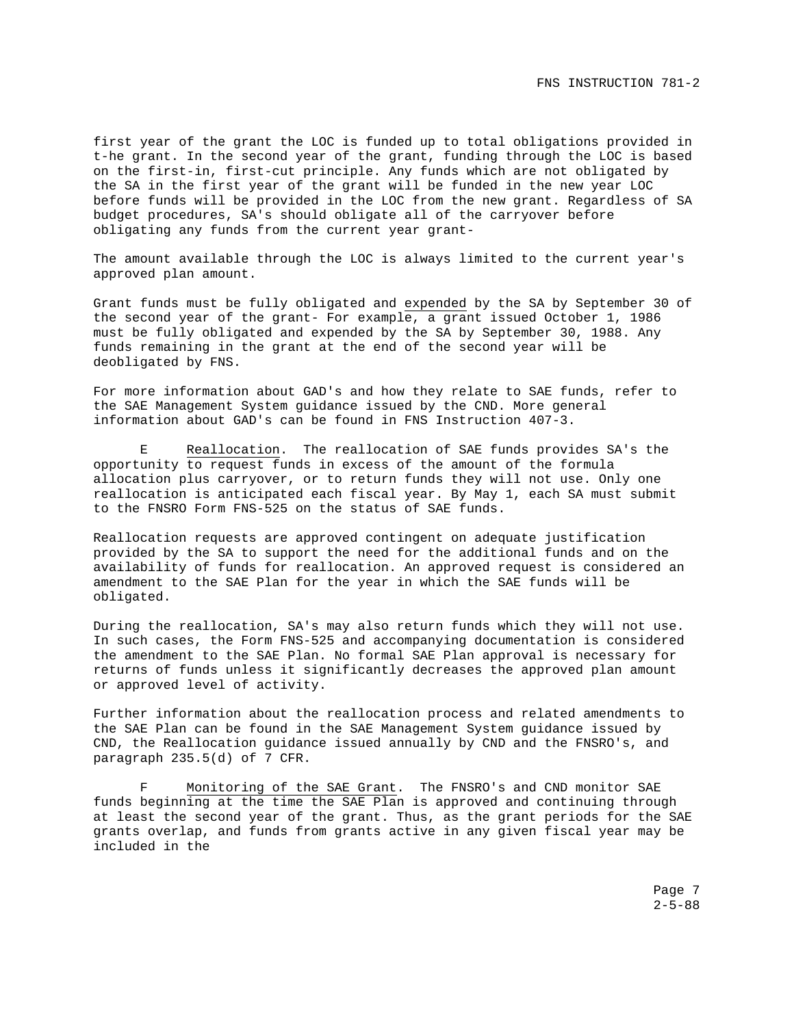first year of the grant the LOC is funded up to total obligations provided in t-he grant. In the second year of the grant, funding through the LOC is based on the first-in, first-cut principle. Any funds which are not obligated by the SA in the first year of the grant will be funded in the new year LOC before funds will be provided in the LOC from the new grant. Regardless of SA budget procedures, SA's should obligate all of the carryover before obligating any funds from the current year grant-

The amount available through the LOC is always limited to the current year's approved plan amount.

Grant funds must be fully obligated and expended by the SA by September 30 of the second year of the grant- For example, a grant issued October 1, 1986 must be fully obligated and expended by the SA by September 30, 1988. Any funds remaining in the grant at the end of the second year will be deobligated by FNS.

For more information about GAD's and how they relate to SAE funds, refer to the SAE Management System guidance issued by the CND. More general information about GAD's can be found in FNS Instruction 407-3.

E Reallocation. The reallocation of SAE funds provides SA's the opportunity to request funds in excess of the amount of the formula allocation plus carryover, or to return funds they will not use. Only one reallocation is anticipated each fiscal year. By May 1, each SA must submit to the FNSRO Form FNS-525 on the status of SAE funds.

Reallocation requests are approved contingent on adequate justification provided by the SA to support the need for the additional funds and on the availability of funds for reallocation. An approved request is considered an amendment to the SAE Plan for the year in which the SAE funds will be obligated.

During the reallocation, SA's may also return funds which they will not use. In such cases, the Form FNS-525 and accompanying documentation is considered the amendment to the SAE Plan. No formal SAE Plan approval is necessary for returns of funds unless it significantly decreases the approved plan amount or approved level of activity.

Further information about the reallocation process and related amendments to the SAE Plan can be found in the SAE Management System guidance issued by CND, the Reallocation guidance issued annually by CND and the FNSRO's, and paragraph 235.5(d) of 7 CFR.

F Monitoring of the SAE Grant. The FNSRO's and CND monitor SAE funds beginning at the time the SAE Plan is approved and continuing through at least the second year of the grant. Thus, as the grant periods for the SAE grants overlap, and funds from grants active in any given fiscal year may be included in the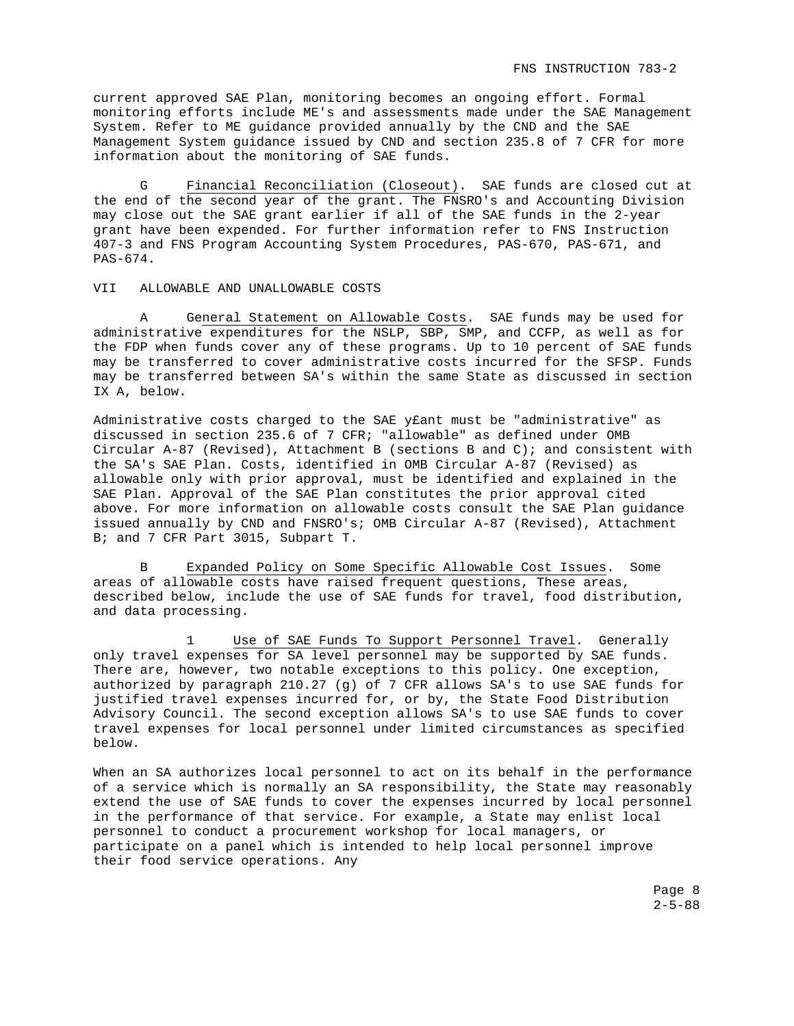current approved SAE Plan, monitoring becomes an ongoing effort. Formal monitoring efforts include ME's and assessments made under the SAE Management System. Refer to ME guidance provided annually by the CND and the SAE Management System guidance issued by CND and section 235.8 of 7 CFR for more information about the monitoring of SAE funds.

G Financial Reconciliation (Closeout). SAE funds are closed cut at the end of the second year of the grant. The FNSRO's and Accounting Division may close out the SAE grant earlier if all of the SAE funds in the 2-year grant have been expended. For further information refer to FNS Instruction 407-3 and FNS Program Accounting System Procedures, PAS-670, PAS-671, and PAS-674.

#### VII ALLOWABLE AND UNALLOWABLE COSTS

A General Statement on Allowable Costs. SAE funds may be used for administrative expenditures for the NSLP, SBP, SMP, and CCFP, as well as for the FDP when funds cover any of these programs. Up to 10 percent of SAE funds may be transferred to cover administrative costs incurred for the SFSP. Funds may be transferred between SA's within the same State as discussed in section IX A, below.

Administrative costs charged to the SAE y£ant must be "administrative" as discussed in section 235.6 of 7 CFR; "allowable" as defined under OMB Circular A-87 (Revised), Attachment B (sections B and C); and consistent with the SA's SAE Plan. Costs, identified in OMB Circular A-87 (Revised) as allowable only with prior approval, must be identified and explained in the SAE Plan. Approval of the SAE Plan constitutes the prior approval cited above. For more information on allowable costs consult the SAE Plan guidance issued annually by CND and FNSRO's; OMB Circular A-87 (Revised), Attachment B; and 7 CFR Part 3015, Subpart T.

B Expanded Policy on Some Specific Allowable Cost Issues. Some areas of allowable costs have raised frequent questions, These areas, described below, include the use of SAE funds for travel, food distribution, and data processing.

1 Use of SAE Funds To Support Personnel Travel. Generally only travel expenses for SA level personnel may be supported by SAE funds. There are, however, two notable exceptions to this policy. One exception, authorized by paragraph 210.27 (g) of 7 CFR allows SA's to use SAE funds for justified travel expenses incurred for, or by, the State Food Distribution Advisory Council. The second exception allows SA's to use SAE funds to cover travel expenses for local personnel under limited circumstances as specified below.

When an SA authorizes local personnel to act on its behalf in the performance of a service which is normally an SA responsibility, the State may reasonably extend the use of SAE funds to cover the expenses incurred by local personnel in the performance of that service. For example, a State may enlist local personnel to conduct a procurement workshop for local managers, or participate on a panel which is intended to help local personnel improve their food service operations. Any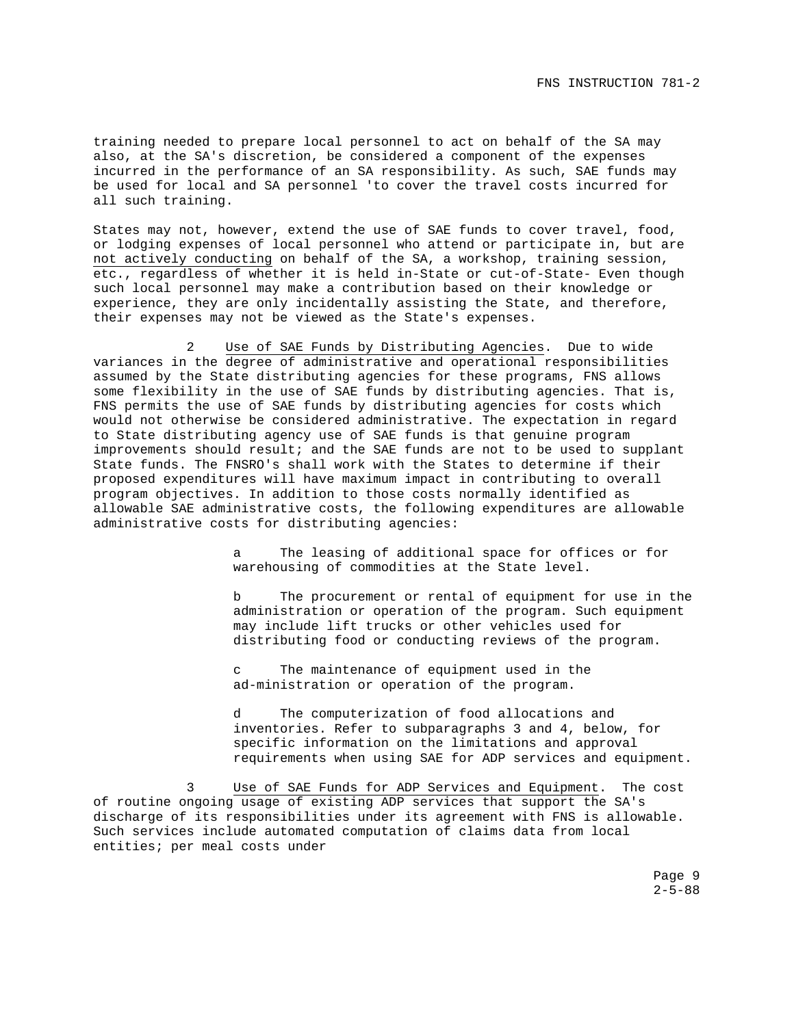training needed to prepare local personnel to act on behalf of the SA may also, at the SA's discretion, be considered a component of the expenses incurred in the performance of an SA responsibility. As such, SAE funds may be used for local and SA personnel 'to cover the travel costs incurred for all such training.

States may not, however, extend the use of SAE funds to cover travel, food, or lodging expenses of local personnel who attend or participate in, but are not actively conducting on behalf of the SA, a workshop, training session, etc., regardless of whether it is held in-State or cut-of-State- Even though such local personnel may make a contribution based on their knowledge or experience, they are only incidentally assisting the State, and therefore, their expenses may not be viewed as the State's expenses.

2 Use of SAE Funds by Distributing Agencies. Due to wide variances in the degree of administrative and operational responsibilities assumed by the State distributing agencies for these programs, FNS allows some flexibility in the use of SAE funds by distributing agencies. That is, FNS permits the use of SAE funds by distributing agencies for costs which would not otherwise be considered administrative. The expectation in regard to State distributing agency use of SAE funds is that genuine program improvements should result; and the SAE funds are not to be used to supplant State funds. The FNSRO's shall work with the States to determine if their proposed expenditures will have maximum impact in contributing to overall program objectives. In addition to those costs normally identified as allowable SAE administrative costs, the following expenditures are allowable administrative costs for distributing agencies:

> a The leasing of additional space for offices or for warehousing of commodities at the State level.

b The procurement or rental of equipment for use in the administration or operation of the program. Such equipment may include lift trucks or other vehicles used for distributing food or conducting reviews of the program.

c The maintenance of equipment used in the ad-ministration or operation of the program.

d The computerization of food allocations and inventories. Refer to subparagraphs 3 and 4, below, for specific information on the limitations and approval requirements when using SAE for ADP services and equipment.

3 Use of SAE Funds for ADP Services and Equipment. The cost of routine ongoing usage of existing ADP services that support the SA's discharge of its responsibilities under its agreement with FNS is allowable. Such services include automated computation of claims data from local entities; per meal costs under

> Page 9  $2 - 5 - 88$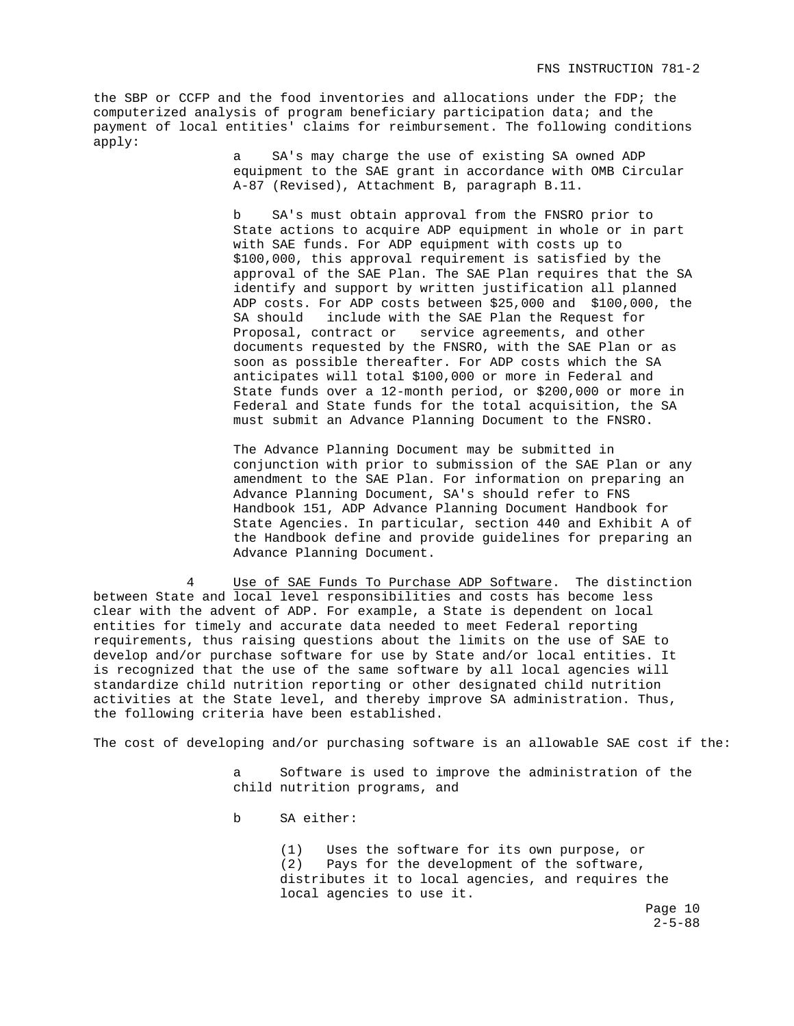the SBP or CCFP and the food inventories and allocations under the FDP; the computerized analysis of program beneficiary participation data; and the payment of local entities' claims for reimbursement. The following conditions apply:

> a SA's may charge the use of existing SA owned ADP equipment to the SAE grant in accordance with OMB Circular A-87 (Revised), Attachment B, paragraph B.11.

b SA's must obtain approval from the FNSRO prior to State actions to acquire ADP equipment in whole or in part with SAE funds. For ADP equipment with costs up to \$100,000, this approval requirement is satisfied by the approval of the SAE Plan. The SAE Plan requires that the SA identify and support by written justification all planned ADP costs. For ADP costs between \$25,000 and \$100,000, the SA should include with the SAE Plan the Request for Proposal, contract or service agreements, and other documents requested by the FNSRO, with the SAE Plan or as soon as possible thereafter. For ADP costs which the SA anticipates will total \$100,000 or more in Federal and State funds over a 12-month period, or \$200,000 or more in Federal and State funds for the total acquisition, the SA must submit an Advance Planning Document to the FNSRO.

The Advance Planning Document may be submitted in conjunction with prior to submission of the SAE Plan or any amendment to the SAE Plan. For information on preparing an Advance Planning Document, SA's should refer to FNS Handbook 151, ADP Advance Planning Document Handbook for State Agencies. In particular, section 440 and Exhibit A of the Handbook define and provide guidelines for preparing an Advance Planning Document.

4 Use of SAE Funds To Purchase ADP Software. The distinction between State and local level responsibilities and costs has become less clear with the advent of ADP. For example, a State is dependent on local entities for timely and accurate data needed to meet Federal reporting requirements, thus raising questions about the limits on the use of SAE to develop and/or purchase software for use by State and/or local entities. It is recognized that the use of the same software by all local agencies will standardize child nutrition reporting or other designated child nutrition activities at the State level, and thereby improve SA administration. Thus, the following criteria have been established.

The cost of developing and/or purchasing software is an allowable SAE cost if the:

 a Software is used to improve the administration of the child nutrition programs, and

b SA either:

 (1) Uses the software for its own purpose, or (2) Pays for the development of the software, distributes it to local agencies, and requires the local agencies to use it.

> Page 10  $2 - 5 - 88$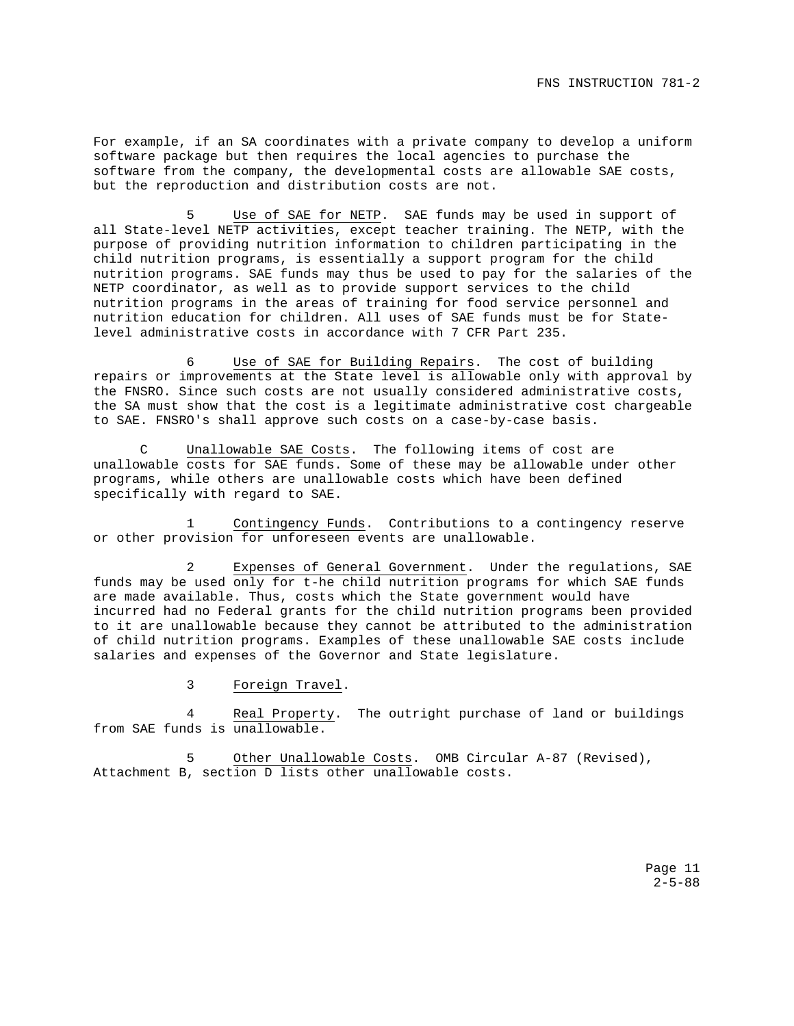For example, if an SA coordinates with a private company to develop a uniform software package but then requires the local agencies to purchase the software from the company, the developmental costs are allowable SAE costs, but the reproduction and distribution costs are not.

Use of SAE for NETP. SAE funds may be used in support of all State-level NETP activities, except teacher training. The NETP, with the purpose of providing nutrition information to children participating in the child nutrition programs, is essentially a support program for the child nutrition programs. SAE funds may thus be used to pay for the salaries of the NETP coordinator, as well as to provide support services to the child nutrition programs in the areas of training for food service personnel and nutrition education for children. All uses of SAE funds must be for Statelevel administrative costs in accordance with 7 CFR Part 235.

6 Use of SAE for Building Repairs. The cost of building repairs or improvements at the State level is allowable only with approval by the FNSRO. Since such costs are not usually considered administrative costs, the SA must show that the cost is a legitimate administrative cost chargeable to SAE. FNSRO's shall approve such costs on a case-by-case basis.

C Unallowable SAE Costs. The following items of cost are unallowable costs for SAE funds. Some of these may be allowable under other programs, while others are unallowable costs which have been defined specifically with regard to SAE.

Contingency Funds. Contributions to a contingency reserve or other provision for unforeseen events are unallowable.

Expenses of General Government. Under the regulations, SAE funds may be used only for t-he child nutrition programs for which SAE funds are made available. Thus, costs which the State government would have incurred had no Federal grants for the child nutrition programs been provided to it are unallowable because they cannot be attributed to the administration of child nutrition programs. Examples of these unallowable SAE costs include salaries and expenses of the Governor and State legislature.

3 Foreign Travel.

4 Real Property. The outright purchase of land or buildings from SAE funds is unallowable.

5 Other Unallowable Costs. OMB Circular A-87 (Revised), Attachment B, section D lists other unallowable costs.

> Page 11  $2 - 5 - 88$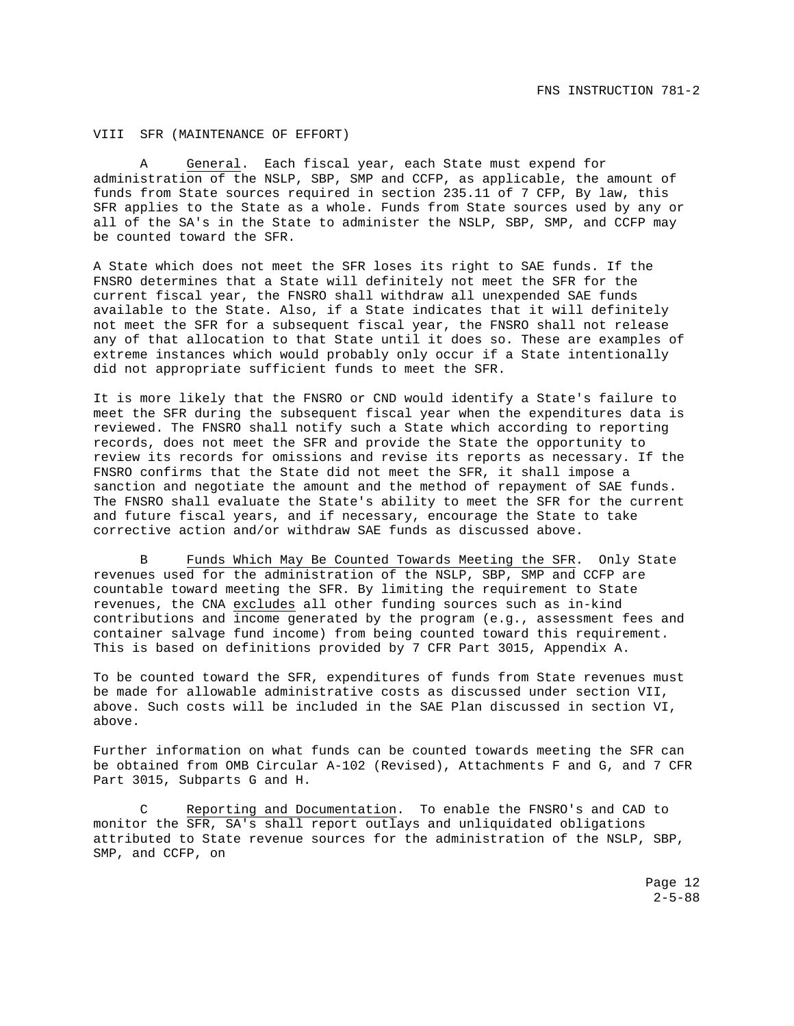#### VIII SFR (MAINTENANCE OF EFFORT)

A General. Each fiscal year, each State must expend for administration of the NSLP, SBP, SMP and CCFP, as applicable, the amount of funds from State sources required in section 235.11 of 7 CFP, By law, this SFR applies to the State as a whole. Funds from State sources used by any or all of the SA's in the State to administer the NSLP, SBP, SMP, and CCFP may be counted toward the SFR.

A State which does not meet the SFR loses its right to SAE funds. If the FNSRO determines that a State will definitely not meet the SFR for the current fiscal year, the FNSRO shall withdraw all unexpended SAE funds available to the State. Also, if a State indicates that it will definitely not meet the SFR for a subsequent fiscal year, the FNSRO shall not release any of that allocation to that State until it does so. These are examples of extreme instances which would probably only occur if a State intentionally did not appropriate sufficient funds to meet the SFR.

It is more likely that the FNSRO or CND would identify a State's failure to meet the SFR during the subsequent fiscal year when the expenditures data is reviewed. The FNSRO shall notify such a State which according to reporting records, does not meet the SFR and provide the State the opportunity to review its records for omissions and revise its reports as necessary. If the FNSRO confirms that the State did not meet the SFR, it shall impose a sanction and negotiate the amount and the method of repayment of SAE funds. The FNSRO shall evaluate the State's ability to meet the SFR for the current and future fiscal years, and if necessary, encourage the State to take corrective action and/or withdraw SAE funds as discussed above.

B Funds Which May Be Counted Towards Meeting the SFR. Only State revenues used for the administration of the NSLP, SBP, SMP and CCFP are countable toward meeting the SFR. By limiting the requirement to State revenues, the CNA excludes all other funding sources such as in-kind contributions and income generated by the program (e.g., assessment fees and container salvage fund income) from being counted toward this requirement. This is based on definitions provided by 7 CFR Part 3015, Appendix A.

To be counted toward the SFR, expenditures of funds from State revenues must be made for allowable administrative costs as discussed under section VII, above. Such costs will be included in the SAE Plan discussed in section VI, above.

Further information on what funds can be counted towards meeting the SFR can be obtained from OMB Circular A-102 (Revised), Attachments F and G, and 7 CFR Part 3015, Subparts G and H.

C Reporting and Documentation. To enable the FNSRO's and CAD to monitor the SFR, SA's shall report outlays and unliquidated obligations attributed to State revenue sources for the administration of the NSLP, SBP, SMP, and CCFP, on

> Page 12  $2 - 5 - 88$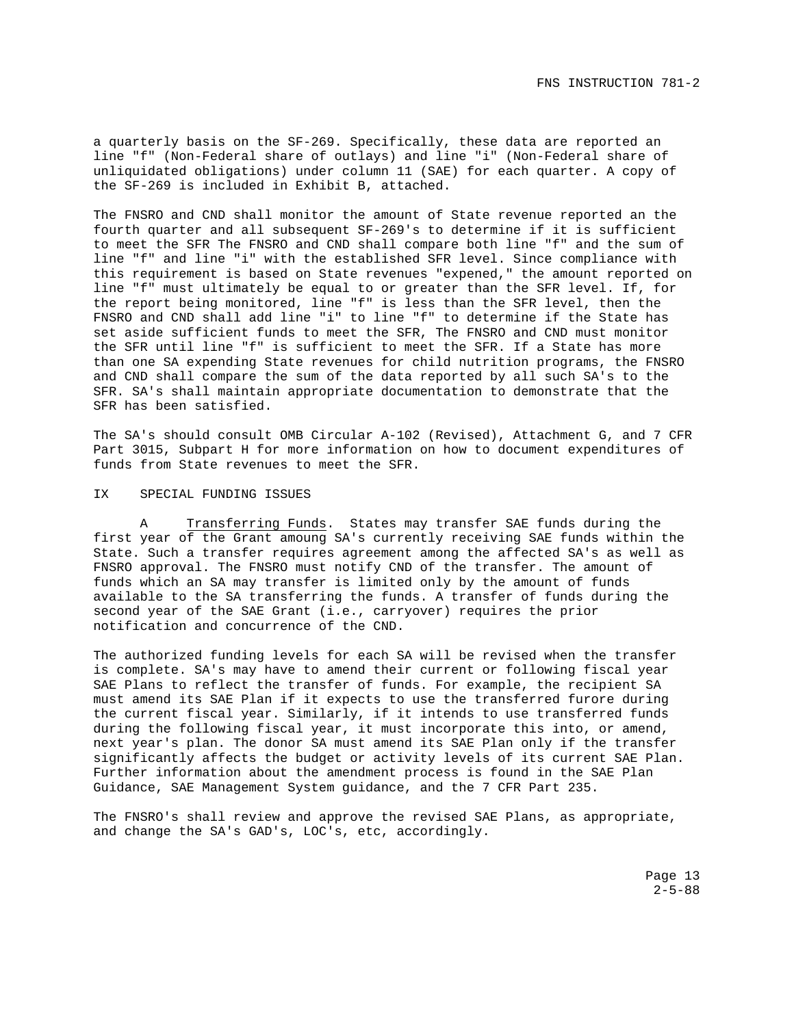a quarterly basis on the SF-269. Specifically, these data are reported an line "f" (Non-Federal share of outlays) and line "i" (Non-Federal share of unliquidated obligations) under column 11 (SAE) for each quarter. A copy of the SF-269 is included in Exhibit B, attached.

The FNSRO and CND shall monitor the amount of State revenue reported an the fourth quarter and all subsequent SF-269's to determine if it is sufficient to meet the SFR The FNSRO and CND shall compare both line "f" and the sum of line "f" and line "i" with the established SFR level. Since compliance with this requirement is based on State revenues "expened," the amount reported on line "f" must ultimately be equal to or greater than the SFR level. If, for the report being monitored, line "f" is less than the SFR level, then the FNSRO and CND shall add line "i" to line "f" to determine if the State has set aside sufficient funds to meet the SFR, The FNSRO and CND must monitor the SFR until line "f" is sufficient to meet the SFR. If a State has more than one SA expending State revenues for child nutrition programs, the FNSRO and CND shall compare the sum of the data reported by all such SA's to the SFR. SA's shall maintain appropriate documentation to demonstrate that the SFR has been satisfied.

The SA's should consult OMB Circular A-102 (Revised), Attachment G, and 7 CFR Part 3015, Subpart H for more information on how to document expenditures of funds from State revenues to meet the SFR.

#### IX SPECIAL FUNDING ISSUES

A Transferring Funds. States may transfer SAE funds during the first year of the Grant amoung SA's currently receiving SAE funds within the State. Such a transfer requires agreement among the affected SA's as well as FNSRO approval. The FNSRO must notify CND of the transfer. The amount of funds which an SA may transfer is limited only by the amount of funds available to the SA transferring the funds. A transfer of funds during the second year of the SAE Grant (i.e., carryover) requires the prior notification and concurrence of the CND.

The authorized funding levels for each SA will be revised when the transfer is complete. SA's may have to amend their current or following fiscal year SAE Plans to reflect the transfer of funds. For example, the recipient SA must amend its SAE Plan if it expects to use the transferred furore during the current fiscal year. Similarly, if it intends to use transferred funds during the following fiscal year, it must incorporate this into, or amend, next year's plan. The donor SA must amend its SAE Plan only if the transfer significantly affects the budget or activity levels of its current SAE Plan. Further information about the amendment process is found in the SAE Plan Guidance, SAE Management System guidance, and the 7 CFR Part 235.

The FNSRO's shall review and approve the revised SAE Plans, as appropriate, and change the SA's GAD's, LOC's, etc, accordingly.

> Page 13  $2 - 5 - 88$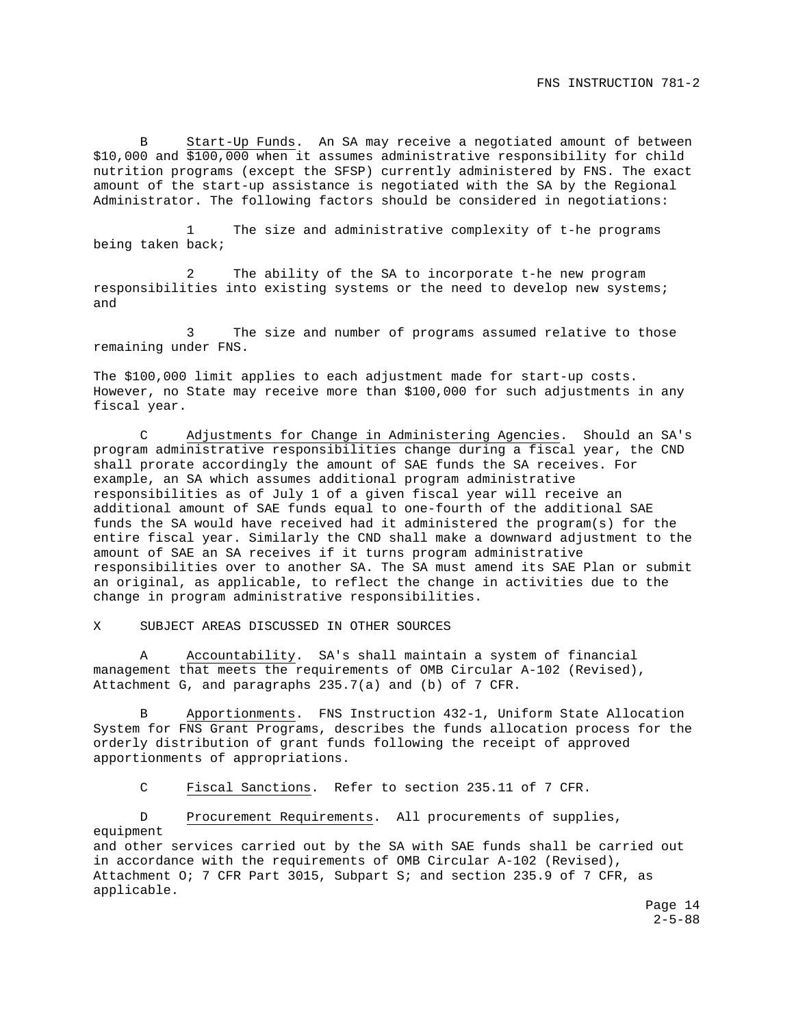B Start-Up Funds. An SA may receive a negotiated amount of between \$10,000 and \$100,000 when it assumes administrative responsibility for child nutrition programs (except the SFSP) currently administered by FNS. The exact amount of the start-up assistance is negotiated with the SA by the Regional Administrator. The following factors should be considered in negotiations:

1 The size and administrative complexity of t-he programs being taken back;

The ability of the SA to incorporate t-he new program responsibilities into existing systems or the need to develop new systems; and

3 The size and number of programs assumed relative to those remaining under FNS.

The \$100,000 limit applies to each adjustment made for start-up costs. However, no State may receive more than \$100,000 for such adjustments in any fiscal year.

C Adjustments for Change in Administering Agencies. Should an SA's program administrative responsibilities change during a fiscal year, the CND shall prorate accordingly the amount of SAE funds the SA receives. For example, an SA which assumes additional program administrative responsibilities as of July 1 of a given fiscal year will receive an additional amount of SAE funds equal to one-fourth of the additional SAE funds the SA would have received had it administered the program(s) for the entire fiscal year. Similarly the CND shall make a downward adjustment to the amount of SAE an SA receives if it turns program administrative responsibilities over to another SA. The SA must amend its SAE Plan or submit an original, as applicable, to reflect the change in activities due to the change in program administrative responsibilities.

X SUBJECT AREAS DISCUSSED IN OTHER SOURCES

A Accountability. SA's shall maintain a system of financial management that meets the requirements of OMB Circular A-102 (Revised), Attachment G, and paragraphs 235.7(a) and (b) of 7 CFR.

B Apportionments. FNS Instruction 432-1, Uniform State Allocation System for FNS Grant Programs, describes the funds allocation process for the orderly distribution of grant funds following the receipt of approved apportionments of appropriations.

C Fiscal Sanctions. Refer to section 235.11 of 7 CFR.

 D Procurement Requirements. All procurements of supplies, equipment and other services carried out by the SA with SAE funds shall be carried out in accordance with the requirements of OMB Circular A-102 (Revised), Attachment O; 7 CFR Part 3015, Subpart S; and section 235.9 of 7 CFR, as applicable.

> Page 14  $2 - 5 - 88$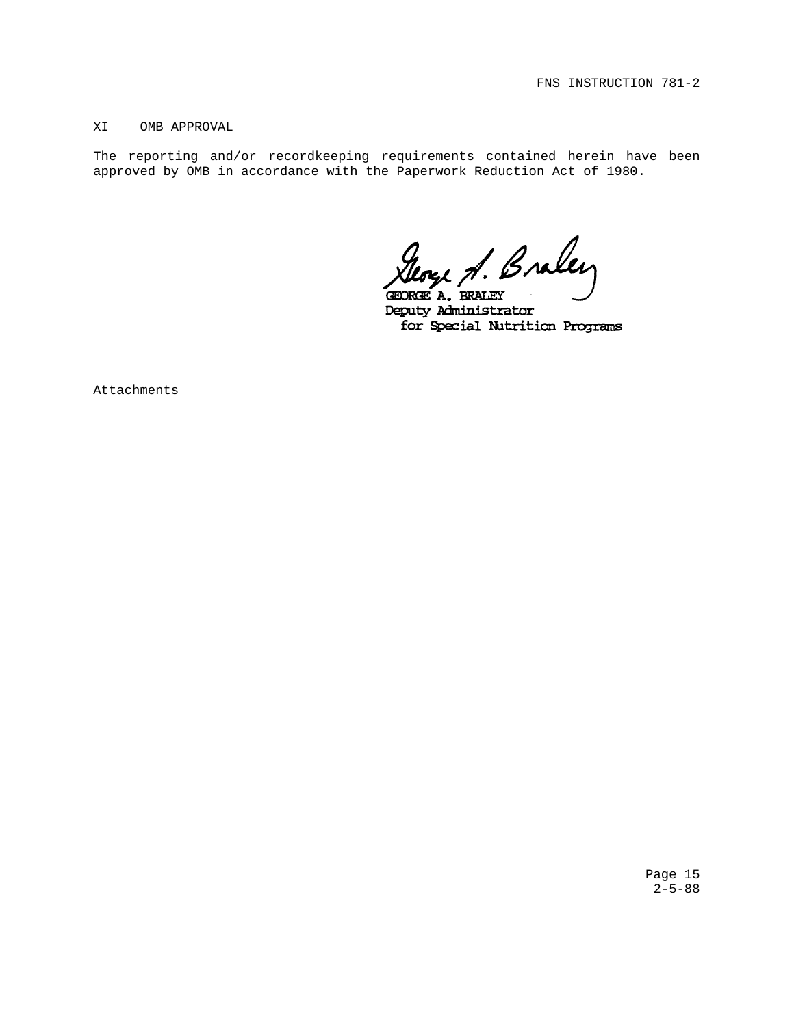### XI OMB APPROVAL

The reporting and/or recordkeeping requirements contained herein have been approved by OMB in accordance with the Paperwork Reduction Act of 1980.

George A. Braley

GEORGE A. BRALEY Deputy Administrator for Special Nutrition Programs

Attachments

Page 15  $2 - 5 - 88$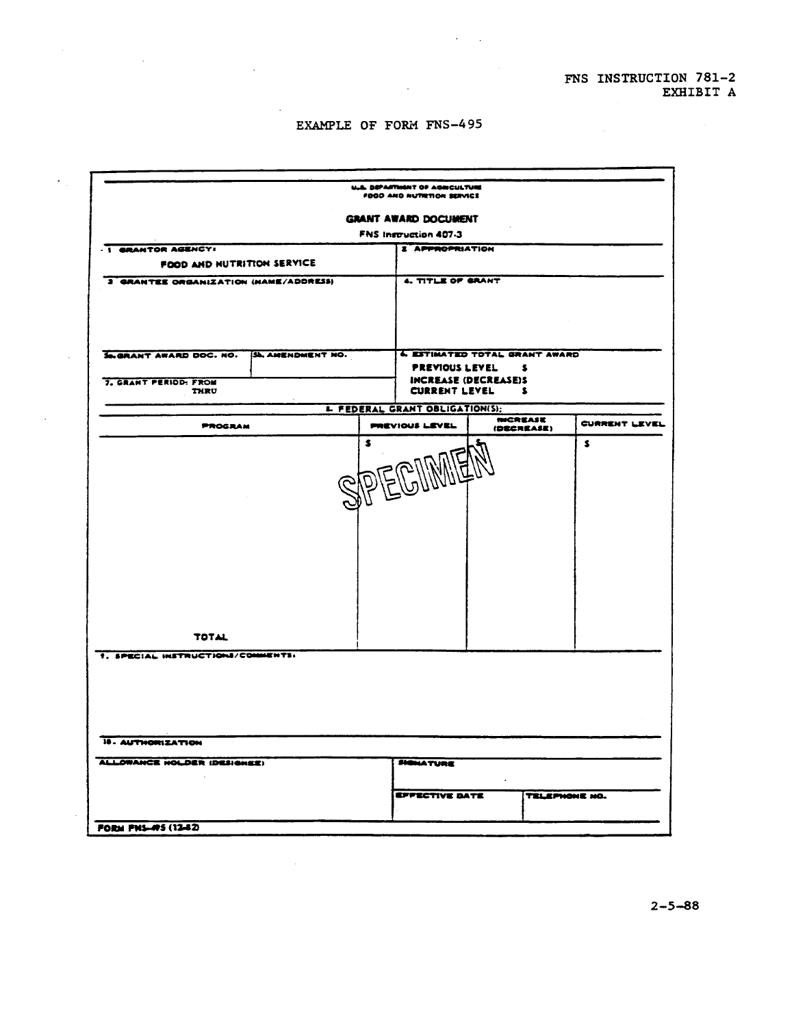# EXAMPLE OF FORM FNS-495

 $\mathcal{A}$ 

 $\mathcal{L}_{\mathcal{A}}$ 

n.

 $\ddot{\phantom{a}}$ 

|                                       |                         |  | U.L. DEPARTMENT OF AGRICULTURE<br>FOOD AND NUTRITION SERVICE |                                                     |                               |               |  |
|---------------------------------------|-------------------------|--|--------------------------------------------------------------|-----------------------------------------------------|-------------------------------|---------------|--|
|                                       |                         |  | <b>GRANT AWARD DOCUMENT</b>                                  |                                                     |                               |               |  |
|                                       |                         |  | <b>FNS Instruction 407-3</b>                                 |                                                     |                               |               |  |
| . I GRANTOR AGENCY:                   |                         |  | <b>2 APPROPRIATION</b>                                       |                                                     |                               |               |  |
| FOOD AND NUTRITION SERVICE            |                         |  | 4. TITLE OF GRANT                                            |                                                     |                               |               |  |
| 3 GRANTEE ORGANIZATION (NAME/ADDRESS) |                         |  |                                                              |                                                     |                               |               |  |
| S.GRANT AWARD DOC. NO.                | <b>SL AMENDMENT NO.</b> |  |                                                              | <b>4. ESTIMATED TOTAL GRANT AWARD</b>               |                               |               |  |
|                                       |                         |  | PREVIOUS LEVEL                                               |                                                     | s                             |               |  |
| 7. GRANT PERIOD: FROM<br>THRU         |                         |  |                                                              | <b>INCREASE (DECREASE)S</b><br><b>CURRENT LEVEL</b> | s                             |               |  |
|                                       |                         |  | <b>L. FEDERAL GRANT OBLIGATION(S);</b>                       |                                                     |                               |               |  |
| <b>PROGRAM</b>                        |                         |  | <b>PREVIOUS LEVEL</b>                                        |                                                     | <b>INCREASE</b><br>(DECREASE) | CURRENT LEVEL |  |
| <b>TOTAL</b>                          |                         |  |                                                              |                                                     |                               |               |  |
| 1. SPECIAL INSTRUCTIONS/COMMENTS:     |                         |  |                                                              |                                                     |                               |               |  |
| 18. AUTHORIZATION                     |                         |  |                                                              |                                                     |                               |               |  |
| ALLOWANCE HOLDER (DESIGNEE)           |                         |  | <b>SIGNATURE</b>                                             |                                                     |                               |               |  |
|                                       |                         |  |                                                              |                                                     |                               |               |  |
|                                       |                         |  | <b>EFFECTIVE DATE</b>                                        |                                                     | TELEPHONE NO.                 |               |  |